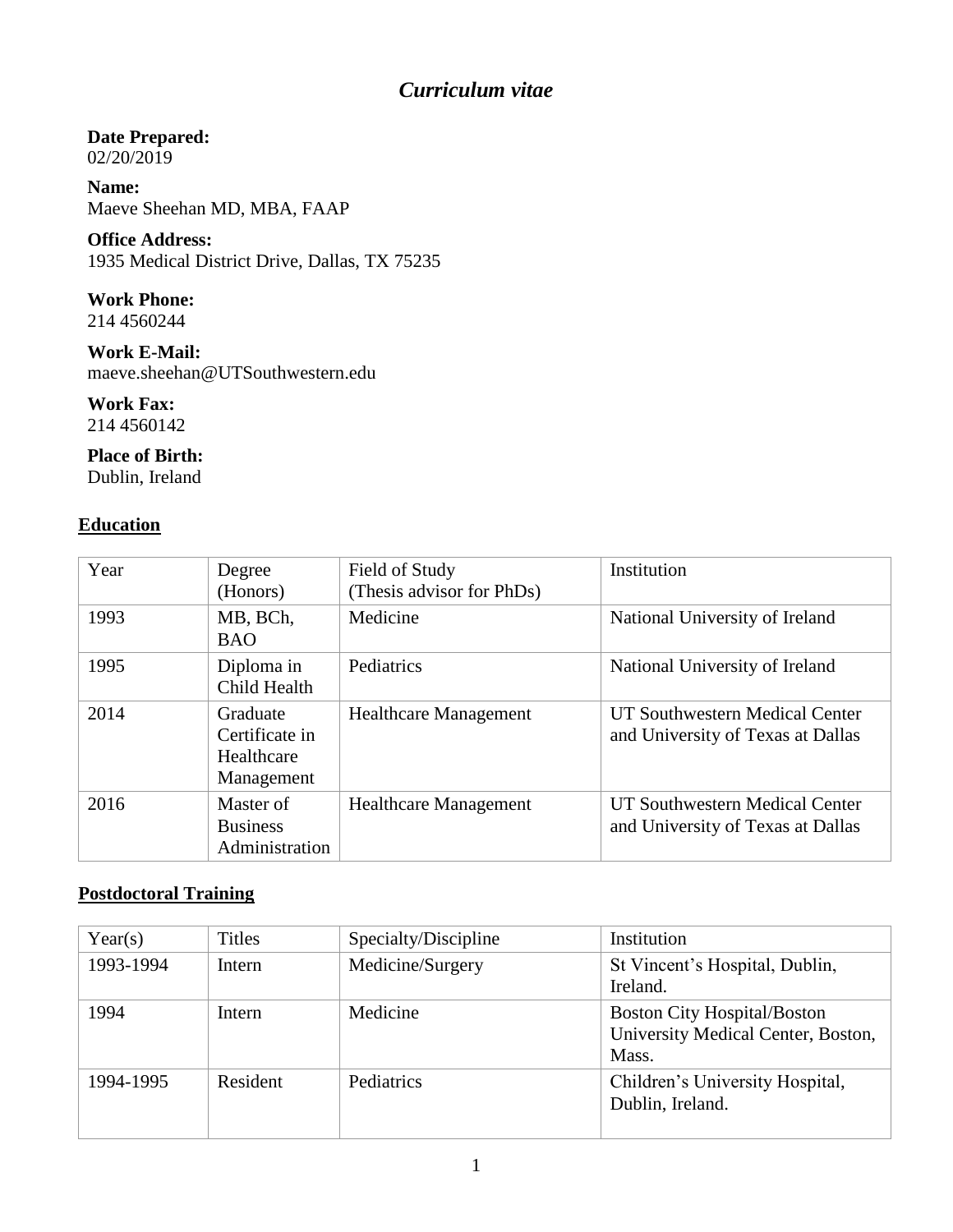# *Curriculum vitae*

### **Date Prepared:**

02/20/2019

**Name:** Maeve Sheehan MD, MBA, FAAP

**Office Address:** 1935 Medical District Drive, Dallas, TX 75235

**Work Phone:**

214 4560244

**Work E-Mail:** maeve.sheehan@UTSouthwestern.edu

**Work Fax:** 214 4560142

**Place of Birth:** Dublin, Ireland

### **Education**

| Year | Degree<br>(Honors)                                     | Field of Study<br>(Thesis advisor for PhDs) | Institution                                                         |
|------|--------------------------------------------------------|---------------------------------------------|---------------------------------------------------------------------|
| 1993 | MB, BCh,<br><b>BAO</b>                                 | Medicine                                    | National University of Ireland                                      |
| 1995 | Diploma in<br>Child Health                             | Pediatrics                                  | National University of Ireland                                      |
| 2014 | Graduate<br>Certificate in<br>Healthcare<br>Management | <b>Healthcare Management</b>                | UT Southwestern Medical Center<br>and University of Texas at Dallas |
| 2016 | Master of<br><b>Business</b><br>Administration         | <b>Healthcare Management</b>                | UT Southwestern Medical Center<br>and University of Texas at Dallas |

### **Postdoctoral Training**

| Year(s)   | <b>Titles</b> | Specialty/Discipline | Institution                                                                       |
|-----------|---------------|----------------------|-----------------------------------------------------------------------------------|
| 1993-1994 | Intern        | Medicine/Surgery     | St Vincent's Hospital, Dublin,<br>Ireland.                                        |
| 1994      | Intern        | Medicine             | <b>Boston City Hospital/Boston</b><br>University Medical Center, Boston,<br>Mass. |
| 1994-1995 | Resident      | Pediatrics           | Children's University Hospital,<br>Dublin, Ireland.                               |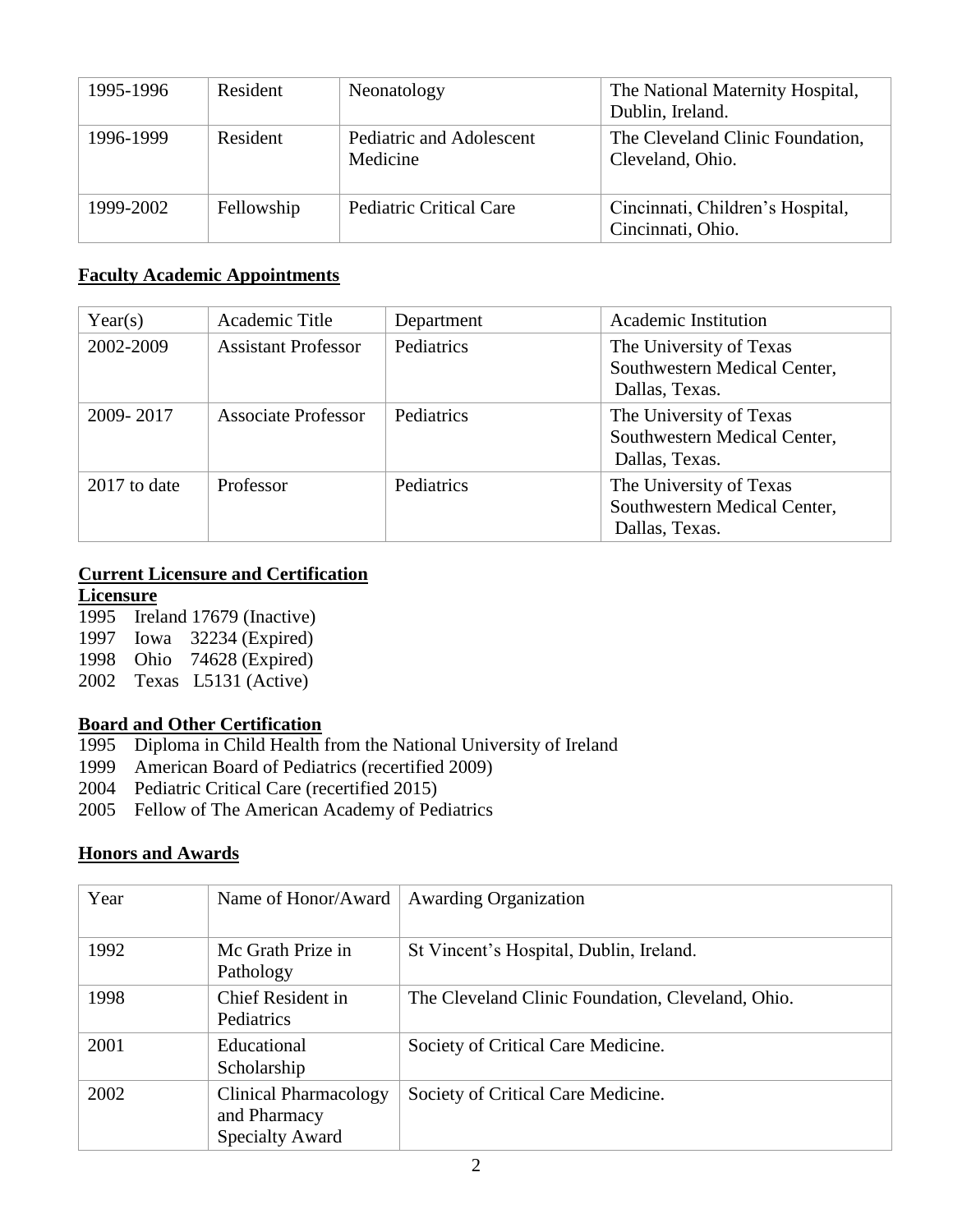| 1995-1996 | Resident   | Neonatology                          | The National Maternity Hospital,<br>Dublin, Ireland.  |
|-----------|------------|--------------------------------------|-------------------------------------------------------|
| 1996-1999 | Resident   | Pediatric and Adolescent<br>Medicine | The Cleveland Clinic Foundation,<br>Cleveland, Ohio.  |
| 1999-2002 | Fellowship | <b>Pediatric Critical Care</b>       | Cincinnati, Children's Hospital,<br>Cincinnati, Ohio. |

#### **Faculty Academic Appointments**

| Year(s)      | Academic Title             | Department | Academic Institution                                                      |
|--------------|----------------------------|------------|---------------------------------------------------------------------------|
| 2002-2009    | <b>Assistant Professor</b> | Pediatrics | The University of Texas<br>Southwestern Medical Center,<br>Dallas, Texas. |
| 2009-2017    | <b>Associate Professor</b> | Pediatrics | The University of Texas<br>Southwestern Medical Center,<br>Dallas, Texas. |
| 2017 to date | Professor                  | Pediatrics | The University of Texas<br>Southwestern Medical Center,<br>Dallas, Texas. |

### **Current Licensure and Certification**

#### **Licensure**

 Ireland 17679 (Inactive) Iowa 32234 (Expired) Ohio 74628 (Expired) Texas L5131 (Active)

#### **Board and Other Certification**

- 1995 Diploma in Child Health from the National University of Ireland
- 1999 American Board of Pediatrics (recertified 2009)
- 2004 Pediatric Critical Care (recertified 2015)
- 2005 Fellow of The American Academy of Pediatrics

#### **Honors and Awards**

| Year | Name of Honor/Award                                             | <b>Awarding Organization</b>                      |
|------|-----------------------------------------------------------------|---------------------------------------------------|
| 1992 | Mc Grath Prize in<br>Pathology                                  | St Vincent's Hospital, Dublin, Ireland.           |
| 1998 | Chief Resident in<br>Pediatrics                                 | The Cleveland Clinic Foundation, Cleveland, Ohio. |
| 2001 | Educational<br>Scholarship                                      | Society of Critical Care Medicine.                |
| 2002 | Clinical Pharmacology<br>and Pharmacy<br><b>Specialty Award</b> | Society of Critical Care Medicine.                |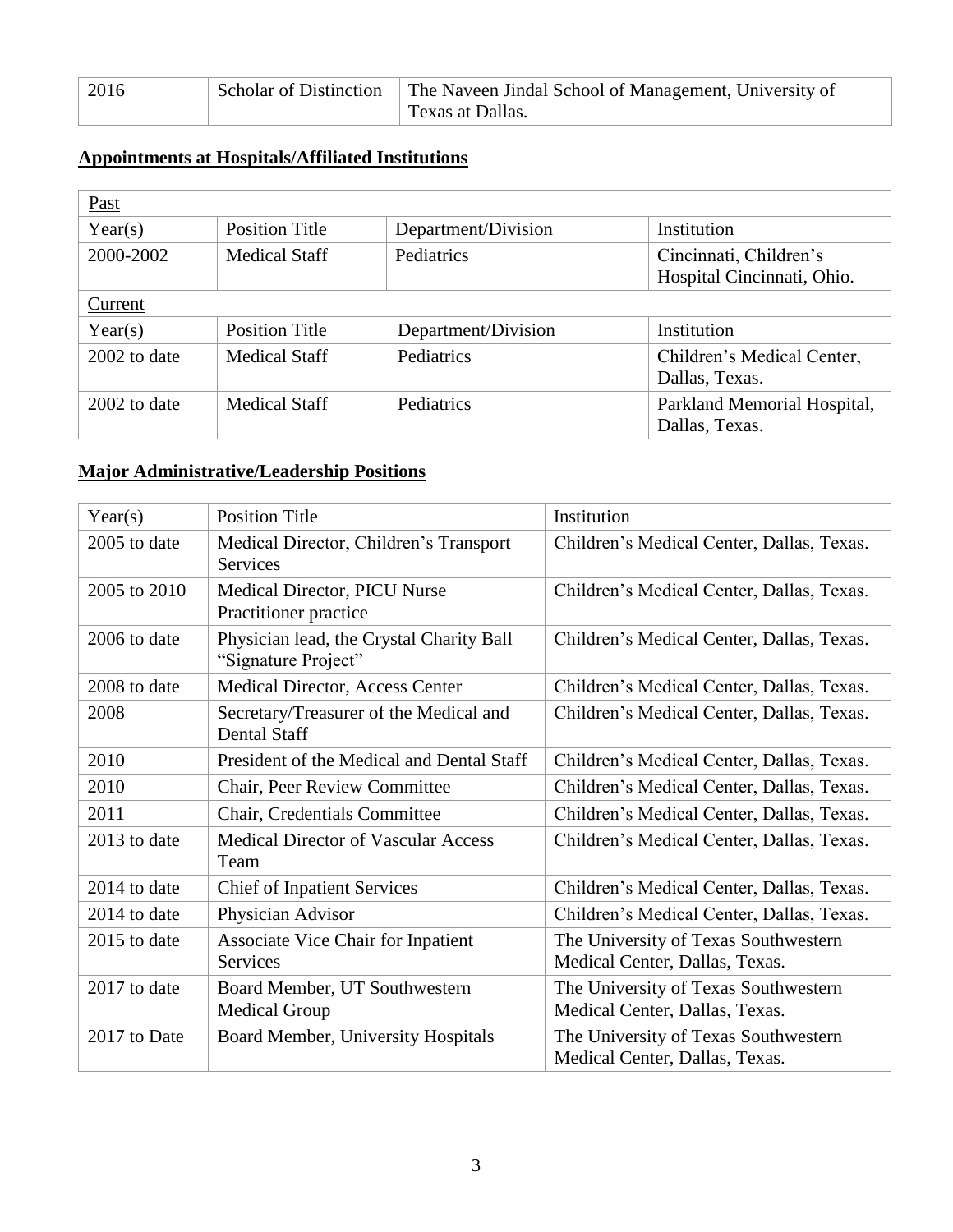| 2016 | Scholar of Distinction | The Naveen Jindal School of Management, University of |
|------|------------------------|-------------------------------------------------------|
|      |                        | Texas at Dallas.                                      |

## **Appointments at Hospitals/Affiliated Institutions**

| <b>Past</b>  |                       |                     |                                                      |
|--------------|-----------------------|---------------------|------------------------------------------------------|
| Year(s)      | <b>Position Title</b> | Department/Division | Institution                                          |
| 2000-2002    | <b>Medical Staff</b>  | Pediatrics          | Cincinnati, Children's<br>Hospital Cincinnati, Ohio. |
| Current      |                       |                     |                                                      |
| Year(s)      | <b>Position Title</b> | Department/Division | Institution                                          |
| 2002 to date | <b>Medical Staff</b>  | Pediatrics          | Children's Medical Center,<br>Dallas, Texas.         |
| 2002 to date | <b>Medical Staff</b>  | Pediatrics          | Parkland Memorial Hospital,<br>Dallas, Texas.        |

### **Major Administrative/Leadership Positions**

| Year(s)      | <b>Position Title</b>                                           | Institution                                                            |
|--------------|-----------------------------------------------------------------|------------------------------------------------------------------------|
| 2005 to date | Medical Director, Children's Transport<br><b>Services</b>       | Children's Medical Center, Dallas, Texas.                              |
| 2005 to 2010 | Medical Director, PICU Nurse<br>Practitioner practice           | Children's Medical Center, Dallas, Texas.                              |
| 2006 to date | Physician lead, the Crystal Charity Ball<br>"Signature Project" | Children's Medical Center, Dallas, Texas.                              |
| 2008 to date | Medical Director, Access Center                                 | Children's Medical Center, Dallas, Texas.                              |
| 2008         | Secretary/Treasurer of the Medical and<br><b>Dental Staff</b>   | Children's Medical Center, Dallas, Texas.                              |
| 2010         | President of the Medical and Dental Staff                       | Children's Medical Center, Dallas, Texas.                              |
| 2010         | Chair, Peer Review Committee                                    | Children's Medical Center, Dallas, Texas.                              |
| 2011         | Chair, Credentials Committee                                    | Children's Medical Center, Dallas, Texas.                              |
| 2013 to date | <b>Medical Director of Vascular Access</b><br>Team              | Children's Medical Center, Dallas, Texas.                              |
| 2014 to date | <b>Chief of Inpatient Services</b>                              | Children's Medical Center, Dallas, Texas.                              |
| 2014 to date | Physician Advisor                                               | Children's Medical Center, Dallas, Texas.                              |
| 2015 to date | <b>Associate Vice Chair for Inpatient</b><br><b>Services</b>    | The University of Texas Southwestern<br>Medical Center, Dallas, Texas. |
| 2017 to date | Board Member, UT Southwestern<br><b>Medical Group</b>           | The University of Texas Southwestern<br>Medical Center, Dallas, Texas. |
| 2017 to Date | Board Member, University Hospitals                              | The University of Texas Southwestern<br>Medical Center, Dallas, Texas. |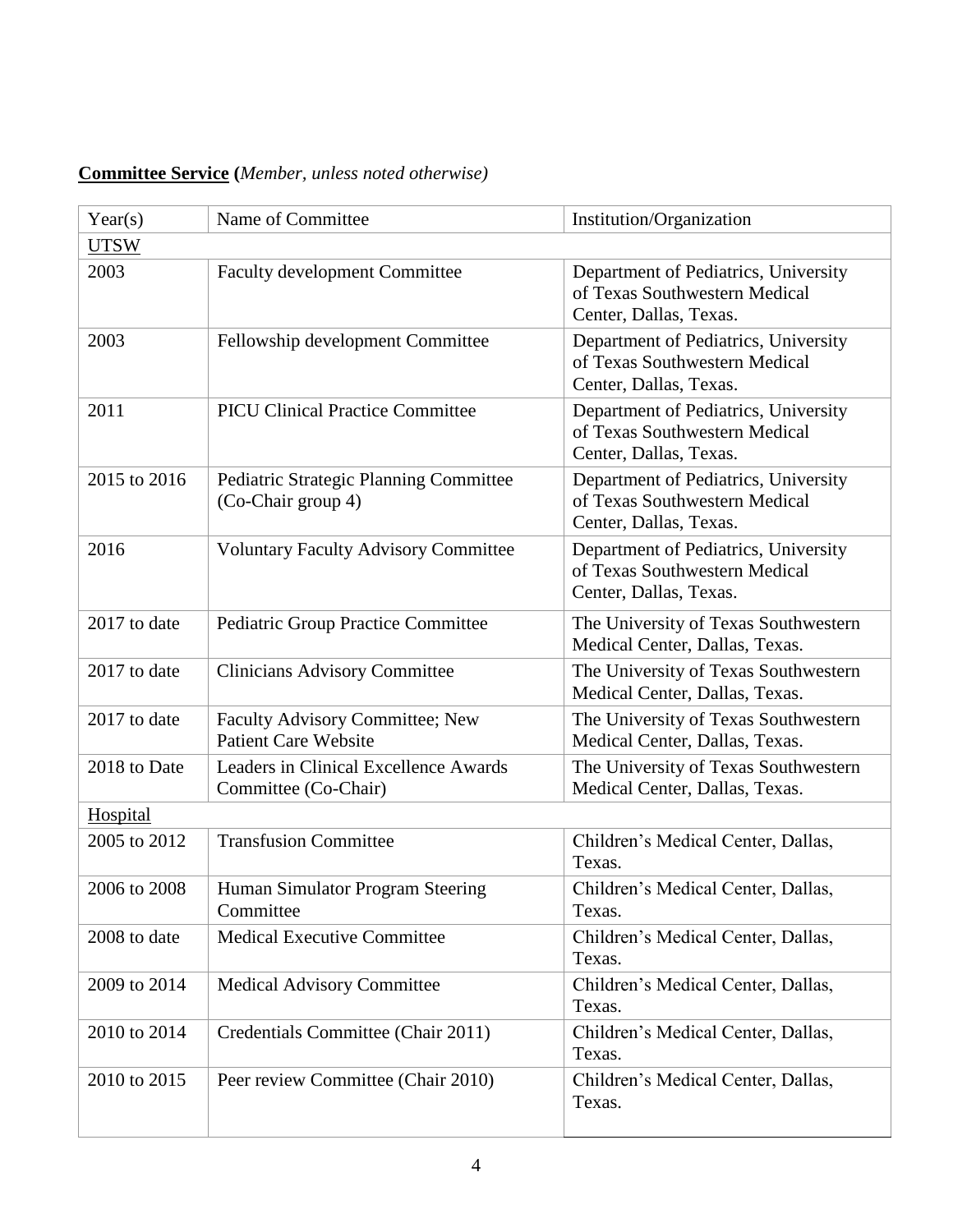## **Committee Service (***Member, unless noted otherwise)*

| Year(s)<br><b>UTSW</b> | Name of Committee                                              | Institution/Organization                                                                        |
|------------------------|----------------------------------------------------------------|-------------------------------------------------------------------------------------------------|
| 2003                   | <b>Faculty development Committee</b>                           | Department of Pediatrics, University<br>of Texas Southwestern Medical<br>Center, Dallas, Texas. |
| 2003                   | Fellowship development Committee                               | Department of Pediatrics, University<br>of Texas Southwestern Medical<br>Center, Dallas, Texas. |
| 2011                   | <b>PICU Clinical Practice Committee</b>                        | Department of Pediatrics, University<br>of Texas Southwestern Medical<br>Center, Dallas, Texas. |
| 2015 to 2016           | Pediatric Strategic Planning Committee<br>(Co-Chair group 4)   | Department of Pediatrics, University<br>of Texas Southwestern Medical<br>Center, Dallas, Texas. |
| 2016                   | <b>Voluntary Faculty Advisory Committee</b>                    | Department of Pediatrics, University<br>of Texas Southwestern Medical<br>Center, Dallas, Texas. |
| 2017 to date           | Pediatric Group Practice Committee                             | The University of Texas Southwestern<br>Medical Center, Dallas, Texas.                          |
| 2017 to date           | <b>Clinicians Advisory Committee</b>                           | The University of Texas Southwestern<br>Medical Center, Dallas, Texas.                          |
| 2017 to date           | Faculty Advisory Committee; New<br><b>Patient Care Website</b> | The University of Texas Southwestern<br>Medical Center, Dallas, Texas.                          |
| 2018 to Date           | Leaders in Clinical Excellence Awards<br>Committee (Co-Chair)  | The University of Texas Southwestern<br>Medical Center, Dallas, Texas.                          |
| Hospital               |                                                                |                                                                                                 |
| 2005 to 2012           | <b>Transfusion Committee</b>                                   | Children's Medical Center, Dallas,<br>Texas.                                                    |
| 2006 to 2008           | Human Simulator Program Steering<br>Committee                  | Children's Medical Center, Dallas,<br>Texas.                                                    |
| 2008 to date           | <b>Medical Executive Committee</b>                             | Children's Medical Center, Dallas,<br>Texas.                                                    |
| 2009 to 2014           | <b>Medical Advisory Committee</b>                              | Children's Medical Center, Dallas,<br>Texas.                                                    |
| 2010 to 2014           | Credentials Committee (Chair 2011)                             | Children's Medical Center, Dallas,<br>Texas.                                                    |
| 2010 to 2015           | Peer review Committee (Chair 2010)                             | Children's Medical Center, Dallas,<br>Texas.                                                    |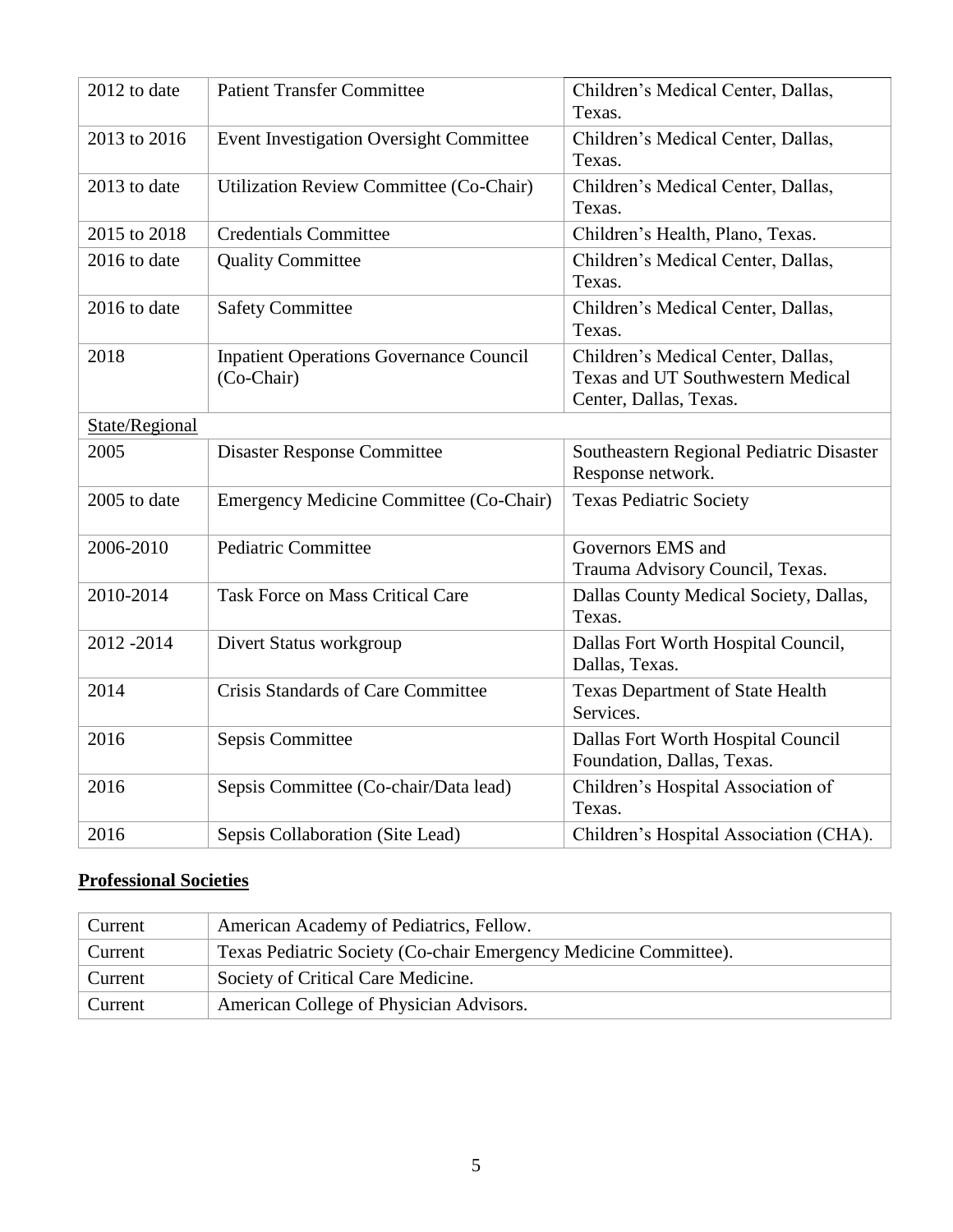| 2012 to date   | <b>Patient Transfer Committee</b>                            | Children's Medical Center, Dallas,<br>Texas.                                                             |  |
|----------------|--------------------------------------------------------------|----------------------------------------------------------------------------------------------------------|--|
| 2013 to 2016   | <b>Event Investigation Oversight Committee</b>               | Children's Medical Center, Dallas,<br>Texas.                                                             |  |
| 2013 to date   | Utilization Review Committee (Co-Chair)                      | Children's Medical Center, Dallas,<br>Texas.                                                             |  |
| 2015 to 2018   | <b>Credentials Committee</b>                                 | Children's Health, Plano, Texas.                                                                         |  |
| 2016 to date   | <b>Quality Committee</b>                                     | Children's Medical Center, Dallas,<br>Texas.                                                             |  |
| 2016 to date   | <b>Safety Committee</b>                                      | Children's Medical Center, Dallas,<br>Texas.                                                             |  |
| 2018           | <b>Inpatient Operations Governance Council</b><br>(Co-Chair) | Children's Medical Center, Dallas,<br><b>Texas and UT Southwestern Medical</b><br>Center, Dallas, Texas. |  |
| State/Regional |                                                              |                                                                                                          |  |
| 2005           | <b>Disaster Response Committee</b>                           | Southeastern Regional Pediatric Disaster<br>Response network.                                            |  |
| 2005 to date   | Emergency Medicine Committee (Co-Chair)                      | <b>Texas Pediatric Society</b>                                                                           |  |
| 2006-2010      | <b>Pediatric Committee</b>                                   | Governors EMS and<br>Trauma Advisory Council, Texas.                                                     |  |
| 2010-2014      | <b>Task Force on Mass Critical Care</b>                      | Dallas County Medical Society, Dallas,<br>Texas.                                                         |  |
| 2012-2014      | Divert Status workgroup                                      | Dallas Fort Worth Hospital Council,<br>Dallas, Texas.                                                    |  |
| 2014           | Crisis Standards of Care Committee                           | <b>Texas Department of State Health</b><br>Services.                                                     |  |
| 2016           | Sepsis Committee                                             | Dallas Fort Worth Hospital Council<br>Foundation, Dallas, Texas.                                         |  |
| 2016           | Sepsis Committee (Co-chair/Data lead)                        | Children's Hospital Association of<br>Texas.                                                             |  |
| 2016           | Sepsis Collaboration (Site Lead)                             | Children's Hospital Association (CHA).                                                                   |  |

### **Professional Societies**

| Current | American Academy of Pediatrics, Fellow.                          |
|---------|------------------------------------------------------------------|
| Current | Texas Pediatric Society (Co-chair Emergency Medicine Committee). |
| Current | Society of Critical Care Medicine.                               |
| Current | American College of Physician Advisors.                          |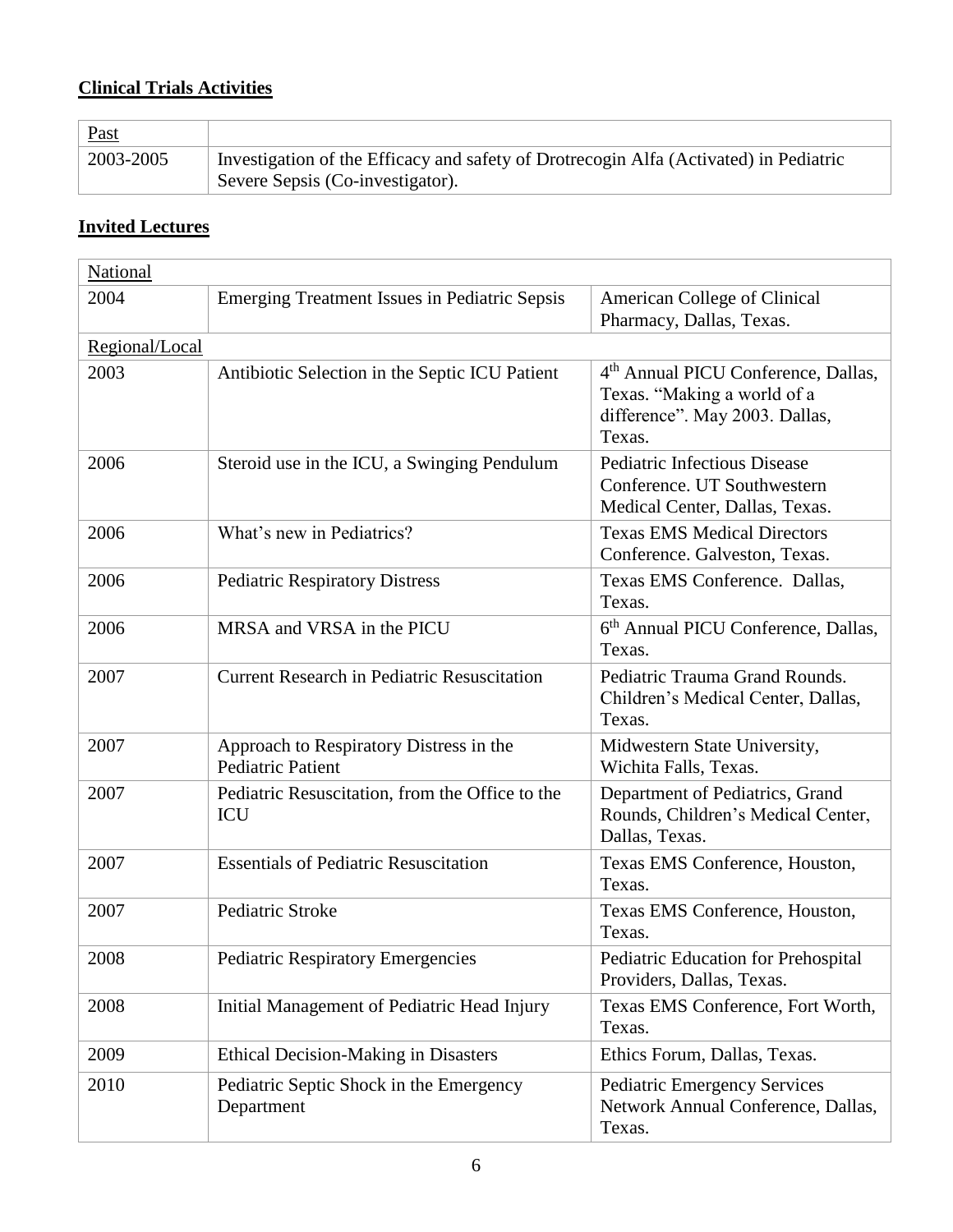## **Clinical Trials Activities**

| <b>Past</b> |                                                                                       |
|-------------|---------------------------------------------------------------------------------------|
| 2003-2005   | Investigation of the Efficacy and safety of Drotrecogin Alfa (Activated) in Pediatric |
|             | Severe Sepsis (Co-investigator).                                                      |

### **Invited Lectures**

| National       |                                                                     |                                                                                                                            |
|----------------|---------------------------------------------------------------------|----------------------------------------------------------------------------------------------------------------------------|
| 2004           | <b>Emerging Treatment Issues in Pediatric Sepsis</b>                | American College of Clinical<br>Pharmacy, Dallas, Texas.                                                                   |
| Regional/Local |                                                                     |                                                                                                                            |
| 2003           | Antibiotic Selection in the Septic ICU Patient                      | 4 <sup>th</sup> Annual PICU Conference, Dallas,<br>Texas. "Making a world of a<br>difference". May 2003. Dallas,<br>Texas. |
| 2006           | Steroid use in the ICU, a Swinging Pendulum                         | <b>Pediatric Infectious Disease</b><br>Conference. UT Southwestern<br>Medical Center, Dallas, Texas.                       |
| 2006           | What's new in Pediatrics?                                           | <b>Texas EMS Medical Directors</b><br>Conference. Galveston, Texas.                                                        |
| 2006           | <b>Pediatric Respiratory Distress</b>                               | Texas EMS Conference. Dallas,<br>Texas.                                                                                    |
| 2006           | MRSA and VRSA in the PICU                                           | 6 <sup>th</sup> Annual PICU Conference, Dallas,<br>Texas.                                                                  |
| 2007           | <b>Current Research in Pediatric Resuscitation</b>                  | Pediatric Trauma Grand Rounds.<br>Children's Medical Center, Dallas,<br>Texas.                                             |
| 2007           | Approach to Respiratory Distress in the<br><b>Pediatric Patient</b> | Midwestern State University,<br>Wichita Falls, Texas.                                                                      |
| 2007           | Pediatric Resuscitation, from the Office to the<br>ICU              | Department of Pediatrics, Grand<br>Rounds, Children's Medical Center,<br>Dallas, Texas.                                    |
| 2007           | <b>Essentials of Pediatric Resuscitation</b>                        | Texas EMS Conference, Houston,<br>Texas.                                                                                   |
| 2007           | Pediatric Stroke                                                    | Texas EMS Conference, Houston,<br>Texas.                                                                                   |
| 2008           | <b>Pediatric Respiratory Emergencies</b>                            | Pediatric Education for Prehospital<br>Providers, Dallas, Texas.                                                           |
| 2008           | Initial Management of Pediatric Head Injury                         | Texas EMS Conference, Fort Worth,<br>Texas.                                                                                |
| 2009           | <b>Ethical Decision-Making in Disasters</b>                         | Ethics Forum, Dallas, Texas.                                                                                               |
| 2010           | Pediatric Septic Shock in the Emergency<br>Department               | <b>Pediatric Emergency Services</b><br>Network Annual Conference, Dallas,<br>Texas.                                        |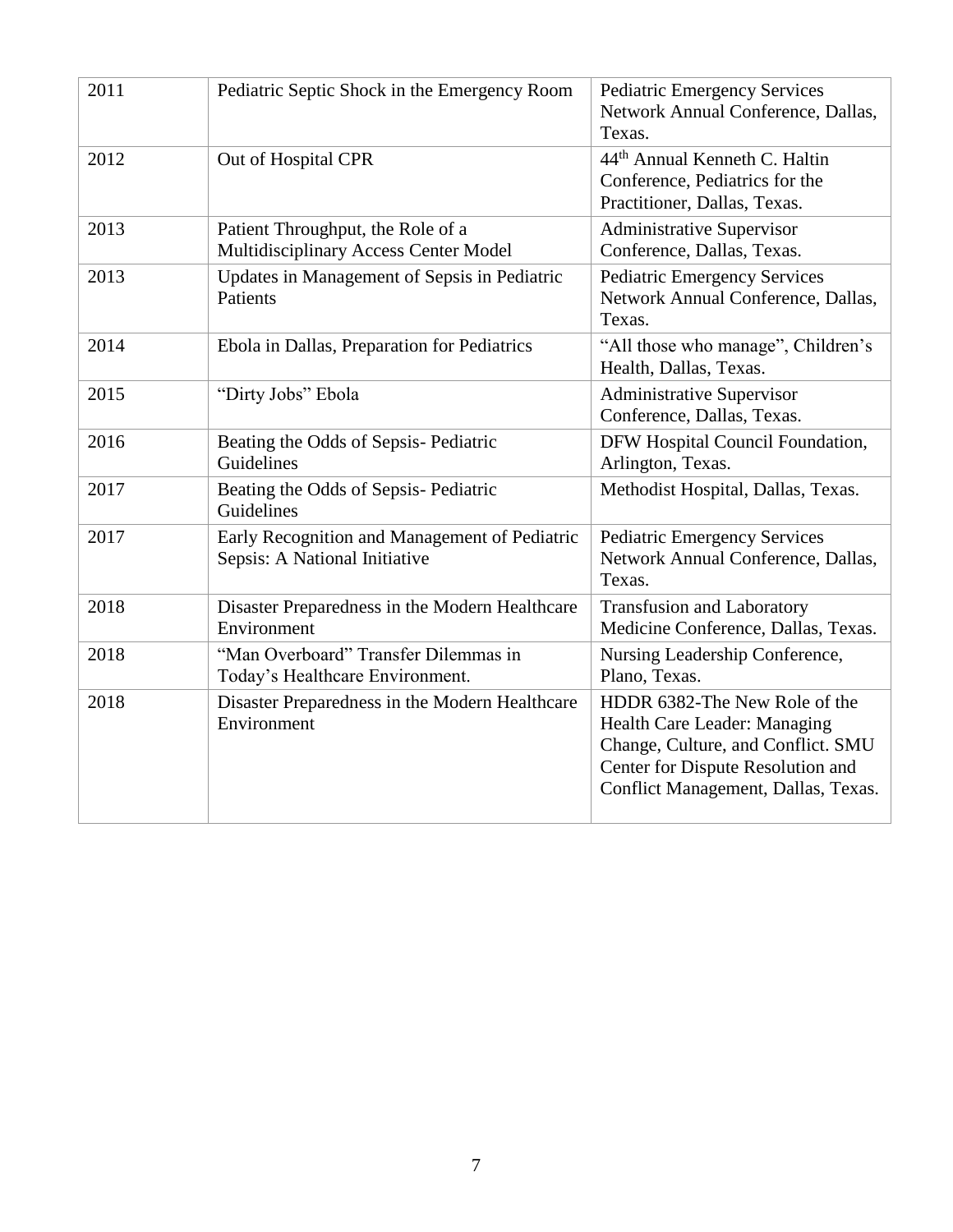| 2011 | Pediatric Septic Shock in the Emergency Room                                   | <b>Pediatric Emergency Services</b><br>Network Annual Conference, Dallas,<br>Texas.                                                                                             |
|------|--------------------------------------------------------------------------------|---------------------------------------------------------------------------------------------------------------------------------------------------------------------------------|
| 2012 | Out of Hospital CPR                                                            | 44 <sup>th</sup> Annual Kenneth C. Haltin<br>Conference, Pediatrics for the<br>Practitioner, Dallas, Texas.                                                                     |
| 2013 | Patient Throughput, the Role of a<br>Multidisciplinary Access Center Model     | <b>Administrative Supervisor</b><br>Conference, Dallas, Texas.                                                                                                                  |
| 2013 | Updates in Management of Sepsis in Pediatric<br>Patients                       | <b>Pediatric Emergency Services</b><br>Network Annual Conference, Dallas,<br>Texas.                                                                                             |
| 2014 | Ebola in Dallas, Preparation for Pediatrics                                    | "All those who manage", Children's<br>Health, Dallas, Texas.                                                                                                                    |
| 2015 | "Dirty Jobs" Ebola                                                             | <b>Administrative Supervisor</b><br>Conference, Dallas, Texas.                                                                                                                  |
| 2016 | Beating the Odds of Sepsis-Pediatric<br>Guidelines                             | DFW Hospital Council Foundation,<br>Arlington, Texas.                                                                                                                           |
| 2017 | Beating the Odds of Sepsis-Pediatric<br>Guidelines                             | Methodist Hospital, Dallas, Texas.                                                                                                                                              |
| 2017 | Early Recognition and Management of Pediatric<br>Sepsis: A National Initiative | <b>Pediatric Emergency Services</b><br>Network Annual Conference, Dallas,<br>Texas.                                                                                             |
| 2018 | Disaster Preparedness in the Modern Healthcare<br>Environment                  | <b>Transfusion and Laboratory</b><br>Medicine Conference, Dallas, Texas.                                                                                                        |
| 2018 | "Man Overboard" Transfer Dilemmas in<br>Today's Healthcare Environment.        | Nursing Leadership Conference,<br>Plano, Texas.                                                                                                                                 |
| 2018 | Disaster Preparedness in the Modern Healthcare<br>Environment                  | HDDR 6382-The New Role of the<br>Health Care Leader: Managing<br>Change, Culture, and Conflict. SMU<br>Center for Dispute Resolution and<br>Conflict Management, Dallas, Texas. |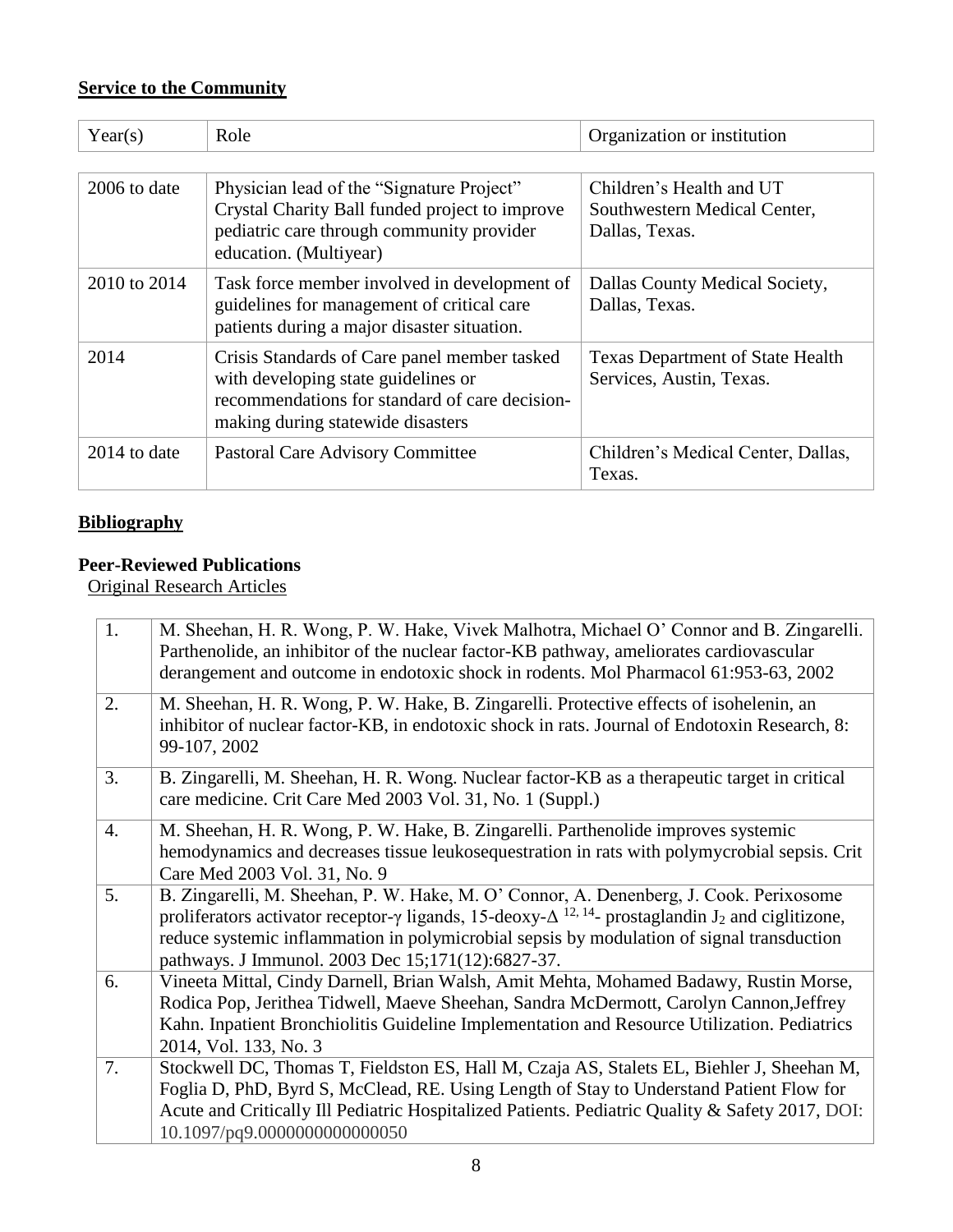## **Service to the Community**

| Year(s)      | Role                                                                                                                                                                       | Organization or institution                                                |
|--------------|----------------------------------------------------------------------------------------------------------------------------------------------------------------------------|----------------------------------------------------------------------------|
|              |                                                                                                                                                                            |                                                                            |
| 2006 to date | Physician lead of the "Signature Project"<br>Crystal Charity Ball funded project to improve<br>pediatric care through community provider<br>education. (Multiyear)         | Children's Health and UT<br>Southwestern Medical Center,<br>Dallas, Texas. |
| 2010 to 2014 | Task force member involved in development of<br>guidelines for management of critical care<br>patients during a major disaster situation.                                  | Dallas County Medical Society,<br>Dallas, Texas.                           |
| 2014         | Crisis Standards of Care panel member tasked<br>with developing state guidelines or<br>recommendations for standard of care decision-<br>making during statewide disasters | <b>Texas Department of State Health</b><br>Services, Austin, Texas.        |
| 2014 to date | <b>Pastoral Care Advisory Committee</b>                                                                                                                                    | Children's Medical Center, Dallas,<br>Texas.                               |

#### **Bibliography**

## **Peer-Reviewed Publications**

Original Research Articles

| 1. | M. Sheehan, H. R. Wong, P. W. Hake, Vivek Malhotra, Michael O' Connor and B. Zingarelli.<br>Parthenolide, an inhibitor of the nuclear factor-KB pathway, ameliorates cardiovascular<br>derangement and outcome in endotoxic shock in rodents. Mol Pharmacol 61:953-63, 2002                                                                                                 |
|----|-----------------------------------------------------------------------------------------------------------------------------------------------------------------------------------------------------------------------------------------------------------------------------------------------------------------------------------------------------------------------------|
| 2. | M. Sheehan, H. R. Wong, P. W. Hake, B. Zingarelli. Protective effects of isohelenin, an<br>inhibitor of nuclear factor-KB, in endotoxic shock in rats. Journal of Endotoxin Research, 8:<br>99-107, 2002                                                                                                                                                                    |
| 3. | B. Zingarelli, M. Sheehan, H. R. Wong. Nuclear factor-KB as a therapeutic target in critical<br>care medicine. Crit Care Med 2003 Vol. 31, No. 1 (Suppl.)                                                                                                                                                                                                                   |
| 4. | M. Sheehan, H. R. Wong, P. W. Hake, B. Zingarelli. Parthenolide improves systemic<br>hemodynamics and decreases tissue leukosequestration in rats with polymycrobial sepsis. Crit<br>Care Med 2003 Vol. 31, No. 9                                                                                                                                                           |
| 5. | B. Zingarelli, M. Sheehan, P. W. Hake, M. O' Connor, A. Denenberg, J. Cook. Perixosome<br>proliferators activator receptor- $\gamma$ ligands, 15-deoxy- $\Delta^{12, 14}$ - prostaglandin J <sub>2</sub> and ciglitizone,<br>reduce systemic inflammation in polymicrobial sepsis by modulation of signal transduction<br>pathways. J Immunol. 2003 Dec 15;171(12):6827-37. |
| 6. | Vineeta Mittal, Cindy Darnell, Brian Walsh, Amit Mehta, Mohamed Badawy, Rustin Morse,<br>Rodica Pop, Jerithea Tidwell, Maeve Sheehan, Sandra McDermott, Carolyn Cannon, Jeffrey<br>Kahn. Inpatient Bronchiolitis Guideline Implementation and Resource Utilization. Pediatrics<br>2014, Vol. 133, No. 3                                                                     |
| 7. | Stockwell DC, Thomas T, Fieldston ES, Hall M, Czaja AS, Stalets EL, Biehler J, Sheehan M,<br>Foglia D, PhD, Byrd S, McClead, RE. Using Length of Stay to Understand Patient Flow for<br>Acute and Critically Ill Pediatric Hospitalized Patients. Pediatric Quality & Safety 2017, DOI:<br>10.1097/pq9.0000000000000050                                                     |